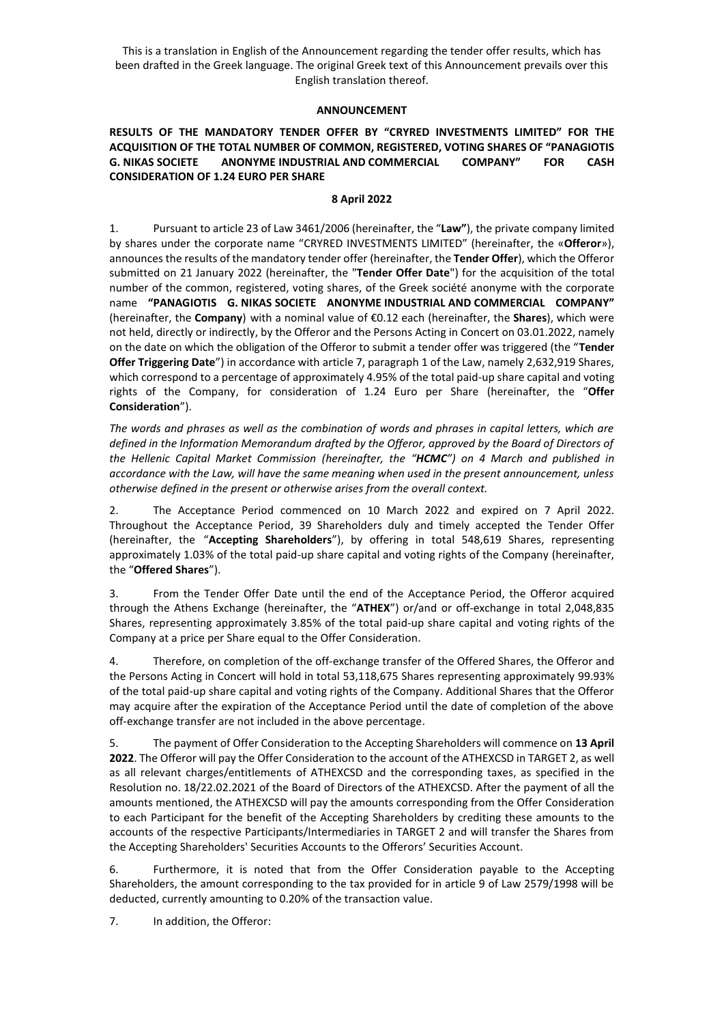This is a translation in English of the Announcement regarding the tender offer results, which has been drafted in the Greek language. The original Greek text of this Announcement prevails over this English translation thereof.

## **ANNOUNCEMENT**

## **RESULTS OF THE MANDATORY TENDER OFFER BY "CRYRED INVESTMENTS LIMITED" FOR THE ACQUISITION OF THE TOTAL NUMBER OF COMMON, REGISTERED, VOTING SHARES OF "PANAGIOTIS G. NIKAS SOCIETE ANONYME INDUSTRIAL AND COMMERCIAL COMPANY" FOR CASH CONSIDERATION OF 1.24 EURO PER SHARE**

## **8 April 2022**

1. Pursuant to article 23 of Law 3461/2006 (hereinafter, the "**Law"**), the private company limited by shares under the corporate name "CRYRED INVESTMENTS LIMITED" (hereinafter, the «**Offeror**»), announces the results of the mandatory tender offer (hereinafter, the **Tender Offer**), which the Offeror submitted on 21 January 2022 (hereinafter, the "**Tender Offer Date**") for the acquisition of the total number of the common, registered, voting shares, of the Greek société anonyme with the corporate name **"PANAGIOTIS G. NIKAS SOCIETE ANONYME INDUSTRIAL AND COMMERCIAL COMPANY"**  (hereinafter, the **Company**) with a nominal value of €0.12 each (hereinafter, the **Shares**), which were not held, directly or indirectly, by the Offeror and the Persons Acting in Concert on 03.01.2022, namely on the date on which the obligation of the Offeror to submit a tender offer was triggered (the "**Tender Offer Triggering Date**") in accordance with article 7, paragraph 1 of the Law, namely 2,632,919 Shares, which correspond to a percentage of approximately 4.95% of the total paid-up share capital and voting rights of the Company, for consideration of 1.24 Euro per Share (hereinafter, the "**Offer Consideration**").

*The words and phrases as well as the combination of words and phrases in capital letters, which are defined in the Information Memorandum drafted by the Offeror, approved by the Board of Directors of the Hellenic Capital Market Commission (hereinafter, the "HCMC") on 4 March and published in accordance with the Law, will have the same meaning when used in the present announcement, unless otherwise defined in the present or otherwise arises from the overall context.*

2. The Acceptance Period commenced on 10 March 2022 and expired on 7 April 2022. Throughout the Acceptance Period, 39 Shareholders duly and timely accepted the Tender Offer (hereinafter, the "**Accepting Shareholders**"), by offering in total 548,619 Shares, representing approximately 1.03% of the total paid-up share capital and voting rights of the Company (hereinafter, the "**Offered Shares**").

3. From the Tender Offer Date until the end of the Acceptance Period, the Offeror acquired through the Athens Exchange (hereinafter, the "**ATHEX**") or/and or off-exchange in total 2,048,835 Shares, representing approximately 3.85% of the total paid-up share capital and voting rights of the Company at a price per Share equal to the Offer Consideration.

4. Therefore, on completion of the off-exchange transfer of the Offered Shares, the Offeror and the Persons Acting in Concert will hold in total 53,118,675 Shares representing approximately 99.93% of the total paid-up share capital and voting rights of the Company. Additional Shares that the Offeror may acquire after the expiration of the Acceptance Period until the date of completion of the above off-exchange transfer are not included in the above percentage.

5. The payment of Offer Consideration to the Accepting Shareholders will commence on **13 April 2022**. The Offeror will pay the Offer Consideration to the account of the ATHEXCSD in TARGET 2, as well as all relevant charges/entitlements of ATHEXCSD and the corresponding taxes, as specified in the Resolution no. 18/22.02.2021 of the Board of Directors of the ATHEXCSD. After the payment of all the amounts mentioned, the ATHEXCSD will pay the amounts corresponding from the Offer Consideration to each Participant for the benefit of the Accepting Shareholders by crediting these amounts to the accounts of the respective Participants/Intermediaries in TARGET 2 and will transfer the Shares from the Accepting Shareholders' Securities Accounts to the Offerors' Securities Account.

6. Furthermore, it is noted that from the Offer Consideration payable to the Accepting Shareholders, the amount corresponding to the tax provided for in article 9 of Law 2579/1998 will be deducted, currently amounting to 0.20% of the transaction value.

7. In addition, the Offeror: